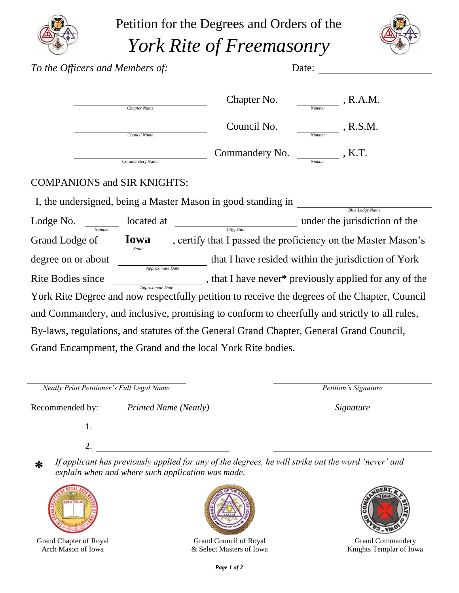

Petition for the Degrees and Orders of the *York Rite of Freemasonry*



| To the Officers and Members of:    |                     |                                                                                               | Date:         |                                                         |  |
|------------------------------------|---------------------|-----------------------------------------------------------------------------------------------|---------------|---------------------------------------------------------|--|
|                                    | <b>Chapter Name</b> | Chapter No.                                                                                   | Number        | , R.A.M.                                                |  |
|                                    | Council Name        | Council No.                                                                                   | Number        | , R.S.M.                                                |  |
|                                    | Commandery Name     | Commandery No.                                                                                | <b>Number</b> | $K$ . K. T.                                             |  |
| <b>COMPANIONS and SIR KNIGHTS:</b> |                     |                                                                                               |               |                                                         |  |
|                                    |                     | I, the undersigned, being a Master Mason in good standing in                                  |               |                                                         |  |
| Lodge No.<br>Number                | located at          | City, State                                                                                   |               | <b>Blue Lodge Name</b><br>under the jurisdiction of the |  |
| Grand Lodge of                     | Iowa<br>State       | , certify that I passed the proficiency on the Master Mason's                                 |               |                                                         |  |
| degree on or about                 | Approximate Date    | that I have resided within the jurisdiction of York                                           |               |                                                         |  |
| <b>Rite Bodies since</b>           | Approximate Date    | , that I have never* previously applied for any of the                                        |               |                                                         |  |
|                                    |                     | York Rite Degree and now respectfully petition to receive the degrees of the Chapter, Council |               |                                                         |  |

and Commandery, and inclusive, promising to conform to cheerfully and strictly to all rules, By-laws, regulations, and statutes of the General Grand Chapter, General Grand Council, Grand Encampment, the Grand and the local York Rite bodies.

| Neatly Print Petitioner's Full Legal Name |                              | Petition's Signature |  |  |
|-------------------------------------------|------------------------------|----------------------|--|--|
| Recommended by:                           | <b>Printed Name (Neatly)</b> | Signature            |  |  |
|                                           |                              |                      |  |  |
|                                           |                              |                      |  |  |

**\*** *If applicant has previously applied for any of the degrees, he will strike out the word 'never' and explain when and where such application was made.*



Grand Chapter of Royal Arch Mason of Iowa



Grand Council of Royal & Select Masters of Iowa



Grand Commandery Knights Templar of Iowa